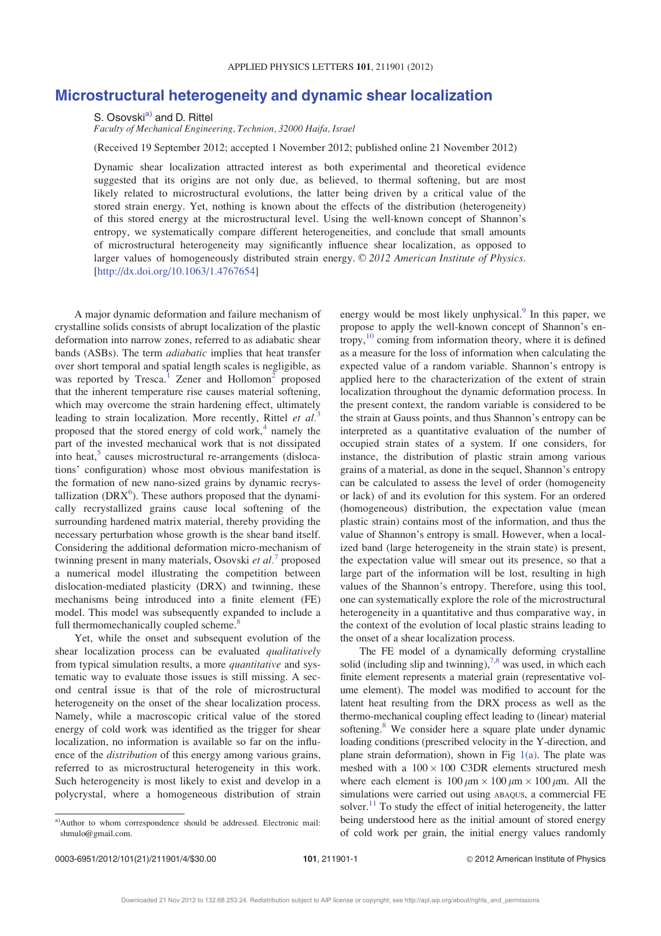## Microstructural heterogeneity and dynamic shear localization

S. Osovski<sup>a)</sup> and D. Rittel

Faculty of Mechanical Engineering, Technion, 32000 Haifa, Israel

(Received 19 September 2012; accepted 1 November 2012; published online 21 November 2012)

Dynamic shear localization attracted interest as both experimental and theoretical evidence suggested that its origins are not only due, as believed, to thermal softening, but are most likely related to microstructural evolutions, the latter being driven by a critical value of the stored strain energy. Yet, nothing is known about the effects of the distribution (heterogeneity) of this stored energy at the microstructural level. Using the well-known concept of Shannon's entropy, we systematically compare different heterogeneities, and conclude that small amounts of microstructural heterogeneity may significantly influence shear localization, as opposed to larger values of homogeneously distributed strain energy. © 2012 American Institute of Physics. [http://dx.doi.org/10.1063/1.4767654]

A major dynamic deformation and failure mechanism of crystalline solids consists of abrupt localization of the plastic deformation into narrow zones, referred to as adiabatic shear bands (ASBs). The term adiabatic implies that heat transfer over short temporal and spatial length scales is negligible, as was reported by Tresca.<sup>1</sup> Zener and Hollomon<sup>2</sup> proposed that the inherent temperature rise causes material softening, which may overcome the strain hardening effect, ultimately leading to strain localization. More recently, Rittel  $et$   $al$ <sup>3</sup> proposed that the stored energy of cold work,<sup>4</sup> namely the part of the invested mechanical work that is not dissipated into heat,<sup>5</sup> causes microstructural re-arrangements (dislocations' configuration) whose most obvious manifestation is the formation of new nano-sized grains by dynamic recrystallization ( $DRX^6$ ). These authors proposed that the dynamically recrystallized grains cause local softening of the surrounding hardened matrix material, thereby providing the necessary perturbation whose growth is the shear band itself. Considering the additional deformation micro-mechanism of twinning present in many materials, Osovski et al.<sup>7</sup> proposed a numerical model illustrating the competition between dislocation-mediated plasticity (DRX) and twinning, these mechanisms being introduced into a finite element (FE) model. This model was subsequently expanded to include a full thermomechanically coupled scheme.<sup>8</sup>

Yet, while the onset and subsequent evolution of the shear localization process can be evaluated *qualitatively* from typical simulation results, a more *quantitative* and systematic way to evaluate those issues is still missing. A second central issue is that of the role of microstructural heterogeneity on the onset of the shear localization process. Namely, while a macroscopic critical value of the stored energy of cold work was identified as the trigger for shear localization, no information is available so far on the influence of the distribution of this energy among various grains, referred to as microstructural heterogeneity in this work. Such heterogeneity is most likely to exist and develop in a polycrystal, where a homogeneous distribution of strain

energy would be most likely unphysical.<sup>9</sup> In this paper, we propose to apply the well-known concept of Shannon's entropy,  $10$  coming from information theory, where it is defined as a measure for the loss of information when calculating the expected value of a random variable. Shannon's entropy is applied here to the characterization of the extent of strain localization throughout the dynamic deformation process. In the present context, the random variable is considered to be the strain at Gauss points, and thus Shannon's entropy can be interpreted as a quantitative evaluation of the number of occupied strain states of a system. If one considers, for instance, the distribution of plastic strain among various grains of a material, as done in the sequel, Shannon's entropy can be calculated to assess the level of order (homogeneity or lack) of and its evolution for this system. For an ordered (homogeneous) distribution, the expectation value (mean plastic strain) contains most of the information, and thus the value of Shannon's entropy is small. However, when a localized band (large heterogeneity in the strain state) is present, the expectation value will smear out its presence, so that a large part of the information will be lost, resulting in high values of the Shannon's entropy. Therefore, using this tool, one can systematically explore the role of the microstructural heterogeneity in a quantitative and thus comparative way, in the context of the evolution of local plastic strains leading to the onset of a shear localization process.

The FE model of a dynamically deforming crystalline solid (including slip and twinning),  $7,8$  was used, in which each finite element represents a material grain (representative volume element). The model was modified to account for the latent heat resulting from the DRX process as well as the thermo-mechanical coupling effect leading to (linear) material softening.<sup>8</sup> We consider here a square plate under dynamic loading conditions (prescribed velocity in the Y-direction, and plane strain deformation), shown in Fig  $1(a)$ . The plate was meshed with a  $100 \times 100$  C3DR elements structured mesh where each element is  $100 \mu m \times 100 \mu m \times 100 \mu m$ . All the simulations were carried out using ABAQUS, a commercial FE solver. $^{11}$  To study the effect of initial heterogeneity, the latter being understood here as the initial amount of stored energy of cold work per grain, the initial energy values randomly

a)Author to whom correspondence should be addressed. Electronic mail: shmulo@gmail.com.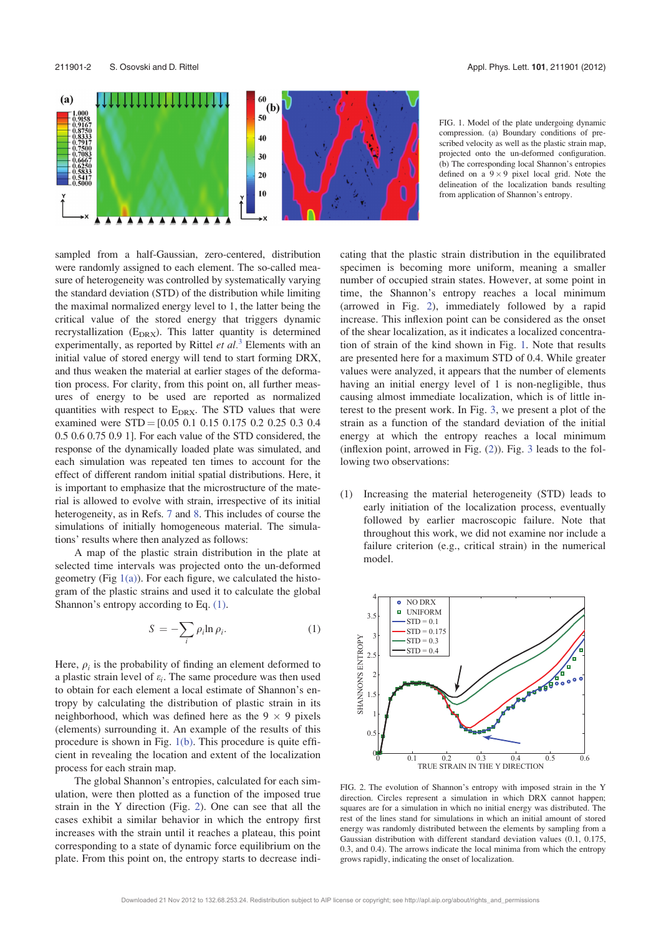211901-2 S. Osovski and D. Rittel Appl. Phys. Lett. 101, 211901 (2012)



FIG. 1. Model of the plate undergoing dynamic compression. (a) Boundary conditions of prescribed velocity as well as the plastic strain map, projected onto the un-deformed configuration. (b) The corresponding local Shannon's entropies defined on a  $9 \times 9$  pixel local grid. Note the delineation of the localization bands resulting from application of Shannon's entropy.

sampled from a half-Gaussian, zero-centered, distribution were randomly assigned to each element. The so-called measure of heterogeneity was controlled by systematically varying the standard deviation (STD) of the distribution while limiting the maximal normalized energy level to 1, the latter being the critical value of the stored energy that triggers dynamic recrystallization  $(E_{DRX})$ . This latter quantity is determined experimentally, as reported by Rittel  $et$   $al$ <sup>3</sup>. Elements with an initial value of stored energy will tend to start forming DRX, and thus weaken the material at earlier stages of the deformation process. For clarity, from this point on, all further measures of energy to be used are reported as normalized quantities with respect to  $E<sub>DRX</sub>$ . The STD values that were examined were  $STD = [0.05 \ 0.1 \ 0.15 \ 0.175 \ 0.2 \ 0.25 \ 0.3 \ 0.4]$ 0.5 0.6 0.75 0.9 1]. For each value of the STD considered, the response of the dynamically loaded plate was simulated, and each simulation was repeated ten times to account for the effect of different random initial spatial distributions. Here, it is important to emphasize that the microstructure of the material is allowed to evolve with strain, irrespective of its initial heterogeneity, as in Refs. 7 and 8. This includes of course the simulations of initially homogeneous material. The simulations' results where then analyzed as follows:

A map of the plastic strain distribution in the plate at selected time intervals was projected onto the un-deformed geometry (Fig  $1(a)$ ). For each figure, we calculated the histogram of the plastic strains and used it to calculate the global Shannon's entropy according to Eq. (1).

$$
S = -\sum_{i} \rho_i \ln \rho_i. \tag{1}
$$

Here,  $\rho_i$  is the probability of finding an element deformed to a plastic strain level of  $\varepsilon_i$ . The same procedure was then used to obtain for each element a local estimate of Shannon's entropy by calculating the distribution of plastic strain in its neighborhood, which was defined here as the  $9 \times 9$  pixels (elements) surrounding it. An example of the results of this procedure is shown in Fig. 1(b). This procedure is quite efficient in revealing the location and extent of the localization process for each strain map.

The global Shannon's entropies, calculated for each simulation, were then plotted as a function of the imposed true strain in the Y direction (Fig. 2). One can see that all the cases exhibit a similar behavior in which the entropy first increases with the strain until it reaches a plateau, this point corresponding to a state of dynamic force equilibrium on the plate. From this point on, the entropy starts to decrease indicating that the plastic strain distribution in the equilibrated specimen is becoming more uniform, meaning a smaller number of occupied strain states. However, at some point in time, the Shannon's entropy reaches a local minimum (arrowed in Fig. 2), immediately followed by a rapid increase. This inflexion point can be considered as the onset of the shear localization, as it indicates a localized concentration of strain of the kind shown in Fig. 1. Note that results are presented here for a maximum STD of 0.4. While greater values were analyzed, it appears that the number of elements having an initial energy level of 1 is non-negligible, thus causing almost immediate localization, which is of little interest to the present work. In Fig. 3, we present a plot of the strain as a function of the standard deviation of the initial energy at which the entropy reaches a local minimum (inflexion point, arrowed in Fig. (2)). Fig. 3 leads to the following two observations:

(1) Increasing the material heterogeneity (STD) leads to early initiation of the localization process, eventually followed by earlier macroscopic failure. Note that throughout this work, we did not examine nor include a failure criterion (e.g., critical strain) in the numerical model.



FIG. 2. The evolution of Shannon's entropy with imposed strain in the Y direction. Circles represent a simulation in which DRX cannot happen; squares are for a simulation in which no initial energy was distributed. The rest of the lines stand for simulations in which an initial amount of stored energy was randomly distributed between the elements by sampling from a Gaussian distribution with different standard deviation values (0.1, 0.175, 0.3, and 0.4). The arrows indicate the local minima from which the entropy grows rapidly, indicating the onset of localization.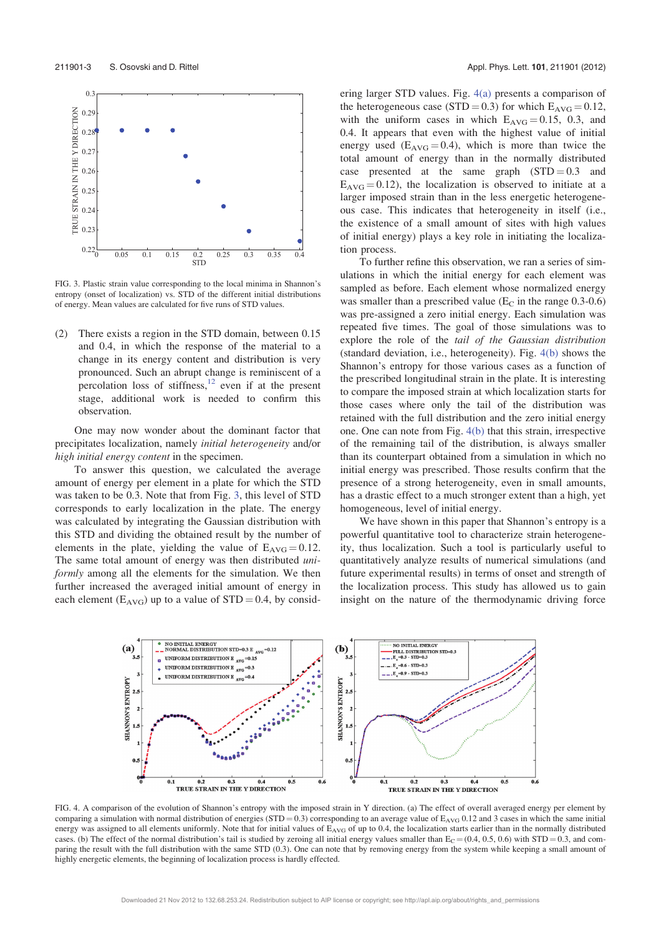

FIG. 3. Plastic strain value corresponding to the local minima in Shannon's entropy (onset of localization) vs. STD of the different initial distributions of energy. Mean values are calculated for five runs of STD values.

(2) There exists a region in the STD domain, between 0.15 and 0.4, in which the response of the material to a change in its energy content and distribution is very pronounced. Such an abrupt change is reminiscent of a percolation loss of stiffness, $12$  even if at the present stage, additional work is needed to confirm this observation.

One may now wonder about the dominant factor that precipitates localization, namely initial heterogeneity and/or high initial energy content in the specimen.

To answer this question, we calculated the average amount of energy per element in a plate for which the STD was taken to be 0.3. Note that from Fig. 3, this level of STD corresponds to early localization in the plate. The energy was calculated by integrating the Gaussian distribution with this STD and dividing the obtained result by the number of elements in the plate, yielding the value of  $E_{AVG} = 0.12$ . The same total amount of energy was then distributed *uni*formly among all the elements for the simulation. We then further increased the averaged initial amount of energy in each element ( $E_{AVG}$ ) up to a value of STD = 0.4, by considering larger STD values. Fig. 4(a) presents a comparison of the heterogeneous case (STD = 0.3) for which  $E_{AVG} = 0.12$ , with the uniform cases in which  $E_{AVG} = 0.15$ , 0.3, and 0.4. It appears that even with the highest value of initial energy used  $(E_{AVG} = 0.4)$ , which is more than twice the total amount of energy than in the normally distributed case presented at the same graph  $(STD = 0.3$  and  $E_{\text{AVG}} = 0.12$ , the localization is observed to initiate at a larger imposed strain than in the less energetic heterogeneous case. This indicates that heterogeneity in itself (i.e., the existence of a small amount of sites with high values of initial energy) plays a key role in initiating the localization process.

To further refine this observation, we ran a series of simulations in which the initial energy for each element was sampled as before. Each element whose normalized energy was smaller than a prescribed value  $(E_C \text{ in the range } 0.3{\text -}0.6)$ was pre-assigned a zero initial energy. Each simulation was repeated five times. The goal of those simulations was to explore the role of the tail of the Gaussian distribution (standard deviation, i.e., heterogeneity). Fig. 4(b) shows the Shannon's entropy for those various cases as a function of the prescribed longitudinal strain in the plate. It is interesting to compare the imposed strain at which localization starts for those cases where only the tail of the distribution was retained with the full distribution and the zero initial energy one. One can note from Fig. 4(b) that this strain, irrespective of the remaining tail of the distribution, is always smaller than its counterpart obtained from a simulation in which no initial energy was prescribed. Those results confirm that the presence of a strong heterogeneity, even in small amounts, has a drastic effect to a much stronger extent than a high, yet homogeneous, level of initial energy.

We have shown in this paper that Shannon's entropy is a powerful quantitative tool to characterize strain heterogeneity, thus localization. Such a tool is particularly useful to quantitatively analyze results of numerical simulations (and future experimental results) in terms of onset and strength of the localization process. This study has allowed us to gain insight on the nature of the thermodynamic driving force



FIG. 4. A comparison of the evolution of Shannon's entropy with the imposed strain in Y direction. (a) The effect of overall averaged energy per element by comparing a simulation with normal distribution of energies (STD = 0.3) corresponding to an average value of  $E_{AVG}$  0.12 and 3 cases in which the same initial energy was assigned to all elements uniformly. Note that for initial values of  $E_{AVG}$  of up to 0.4, the localization starts earlier than in the normally distributed cases. (b) The effect of the normal distribution's tail is studied by zeroing all initial energy values smaller than  $E_C = (0.4, 0.5, 0.6)$  with STD = 0.3, and comparing the result with the full distribution with the same STD (0.3). One can note that by removing energy from the system while keeping a small amount of highly energetic elements, the beginning of localization process is hardly effected.